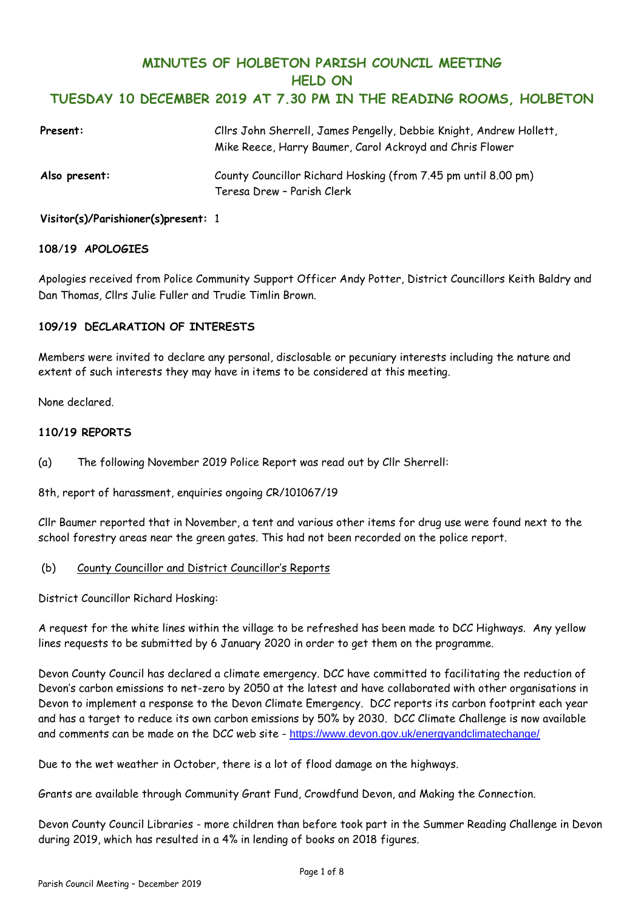# **MINUTES OF HOLBETON PARISH COUNCIL MEETING HELD ON TUESDAY 10 DECEMBER 2019 AT 7.30 PM IN THE READING ROOMS, HOLBETON**

| Present:      | Cllrs John Sherrell, James Pengelly, Debbie Knight, Andrew Hollett,<br>Mike Reece, Harry Baumer, Carol Ackroyd and Chris Flower |
|---------------|---------------------------------------------------------------------------------------------------------------------------------|
| Also present: | County Councillor Richard Hosking (from 7.45 pm until 8.00 pm)<br>Teresa Drew - Parish Clerk                                    |

## **Visitor(s)/Parishioner(s)present:** 1

# **108**/**19 APOLOGIES**

Apologies received from Police Community Support Officer Andy Potter, District Councillors Keith Baldry and Dan Thomas, Cllrs Julie Fuller and Trudie Timlin Brown.

# **109/19 DECLARATION OF INTERESTS**

Members were invited to declare any personal, disclosable or pecuniary interests including the nature and extent of such interests they may have in items to be considered at this meeting.

None declared.

## **110/19 REPORTS**

(a) The following November 2019 Police Report was read out by Cllr Sherrell:

8th, report of harassment, enquiries ongoing CR/101067/19

Cllr Baumer reported that in November, a tent and various other items for drug use were found next to the school forestry areas near the green gates. This had not been recorded on the police report.

#### (b) County Councillor and District Councillor's Reports

District Councillor Richard Hosking:

A request for the white lines within the village to be refreshed has been made to DCC Highways. Any yellow lines requests to be submitted by 6 January 2020 in order to get them on the programme.

Devon County Council has declared a climate emergency. DCC have committed to facilitating the reduction of Devon's carbon emissions to net-zero by 2050 at the latest and have collaborated with other organisations in Devon to implement a response to the [Devon Climate Emergency.](https://www.devonclimateemergency.org.uk/) DCC reports [its carbon footprint](https://www.devon.gov.uk/energyandclimatechange/the-councils-carbon-footprint) each year and has a target to reduce its own carbon emissions by 50% by 2030. DCC Climate Challenge is now available and comments can be made on the DCC web site - <https://www.devon.gov.uk/energyandclimatechange/>

Due to the wet weather in October, there is a lot of flood damage on the highways.

Grants are available through Community Grant Fund, Crowdfund Devon, and Making the Connection.

Devon County Council Libraries - more children than before took part in the Summer Reading Challenge in Devon during 2019, which has resulted in a 4% in lending of books on 2018 figures.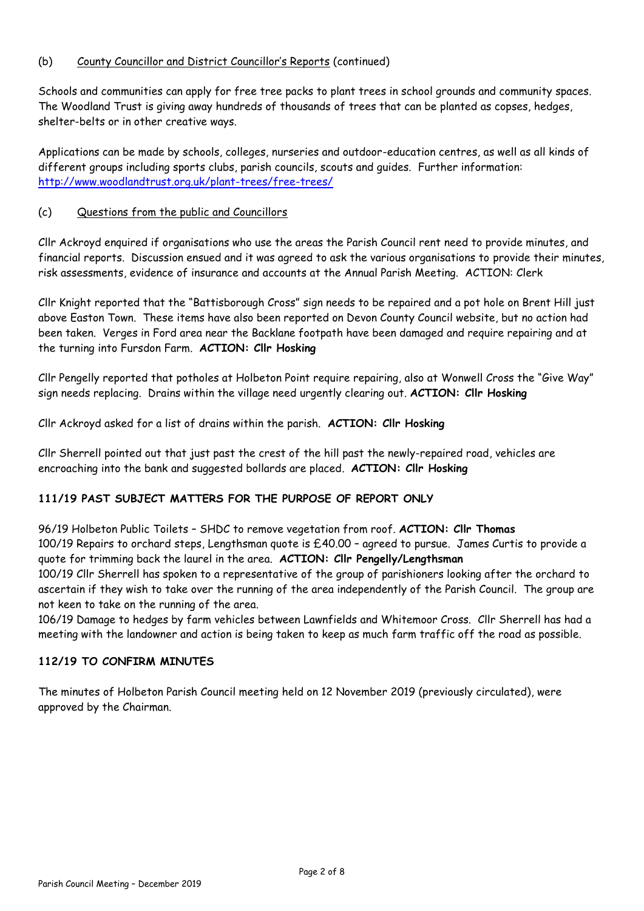# (b) County Councillor and District Councillor's Reports (continued)

Schools and communities can apply for free tree packs to plant trees in school grounds and community spaces. The Woodland Trust is giving away hundreds of thousands of trees that can be planted as copses, hedges, shelter-belts or in other creative ways.

Applications can be made by schools, colleges, nurseries and outdoor-education centres, as well as all kinds of different groups including sports clubs, parish councils, scouts and guides. Further information: <http://www.woodlandtrust.org.uk/plant-trees/free-trees/>

# (c) Questions from the public and Councillors

Cllr Ackroyd enquired if organisations who use the areas the Parish Council rent need to provide minutes, and financial reports. Discussion ensued and it was agreed to ask the various organisations to provide their minutes, risk assessments, evidence of insurance and accounts at the Annual Parish Meeting. ACTION: Clerk

Cllr Knight reported that the "Battisborough Cross" sign needs to be repaired and a pot hole on Brent Hill just above Easton Town. These items have also been reported on Devon County Council website, but no action had been taken. Verges in Ford area near the Backlane footpath have been damaged and require repairing and at the turning into Fursdon Farm. **ACTION: Cllr Hosking**

Cllr Pengelly reported that potholes at Holbeton Point require repairing, also at Wonwell Cross the "Give Way" sign needs replacing. Drains within the village need urgently clearing out. **ACTION: Cllr Hosking**

Cllr Ackroyd asked for a list of drains within the parish. **ACTION: Cllr Hosking**

Cllr Sherrell pointed out that just past the crest of the hill past the newly-repaired road, vehicles are encroaching into the bank and suggested bollards are placed. **ACTION: Cllr Hosking**

# **111/19 PAST SUBJECT MATTERS FOR THE PURPOSE OF REPORT ONLY**

96/19 Holbeton Public Toilets – SHDC to remove vegetation from roof. **ACTION: Cllr Thomas** 100/19 Repairs to orchard steps, Lengthsman quote is £40.00 – agreed to pursue. James Curtis to provide a quote for trimming back the laurel in the area. **ACTION: Cllr Pengelly/Lengthsman**

100/19 Cllr Sherrell has spoken to a representative of the group of parishioners looking after the orchard to ascertain if they wish to take over the running of the area independently of the Parish Council. The group are not keen to take on the running of the area.

106/19 Damage to hedges by farm vehicles between Lawnfields and Whitemoor Cross. Cllr Sherrell has had a meeting with the landowner and action is being taken to keep as much farm traffic off the road as possible.

# **112/19 TO CONFIRM MINUTES**

The minutes of Holbeton Parish Council meeting held on 12 November 2019 (previously circulated), were approved by the Chairman.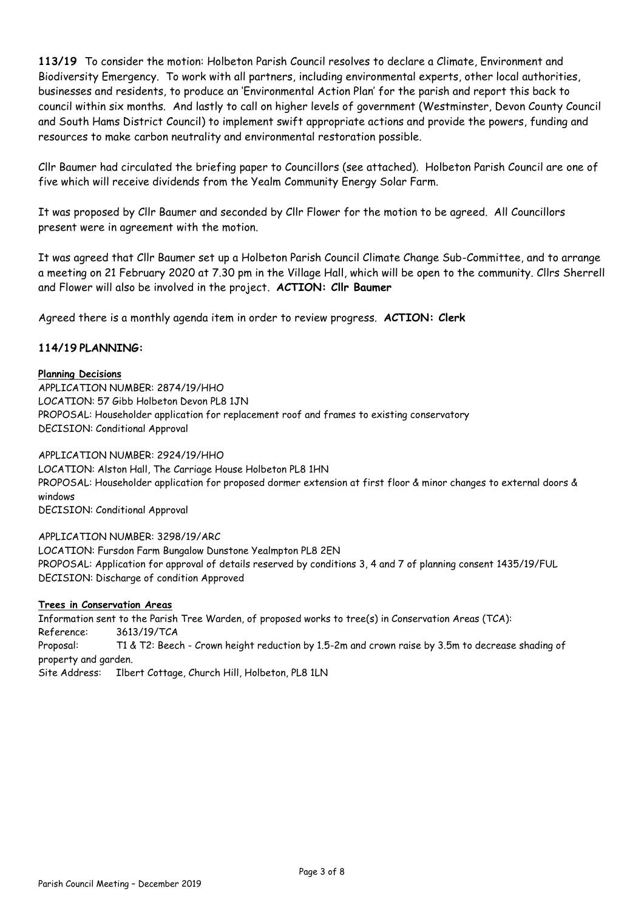**113/19** To consider the motion: Holbeton Parish Council resolves to declare a Climate, Environment and Biodiversity Emergency. To work with all partners, including environmental experts, other local authorities, businesses and residents, to produce an 'Environmental Action Plan' for the parish and report this back to council within six months. And lastly to call on higher levels of government (Westminster, Devon County Council and South Hams District Council) to implement swift appropriate actions and provide the powers, funding and resources to make carbon neutrality and environmental restoration possible.

Cllr Baumer had circulated the briefing paper to Councillors (see attached). Holbeton Parish Council are one of five which will receive dividends from the Yealm Community Energy Solar Farm.

It was proposed by Cllr Baumer and seconded by Cllr Flower for the motion to be agreed. All Councillors present were in agreement with the motion.

It was agreed that Cllr Baumer set up a Holbeton Parish Council Climate Change Sub-Committee, and to arrange a meeting on 21 February 2020 at 7.30 pm in the Village Hall, which will be open to the community. Cllrs Sherrell and Flower will also be involved in the project. **ACTION: Cllr Baumer**

Agreed there is a monthly agenda item in order to review progress. **ACTION: Clerk**

#### **114/19 PLANNING:**

# **Planning Decisions**

APPLICATION NUMBER: 2874/19/HHO LOCATION: 57 Gibb Holbeton Devon PL8 1JN PROPOSAL: Householder application for replacement roof and frames to existing conservatory DECISION: Conditional Approval

APPLICATION NUMBER: 2924/19/HHO LOCATION: Alston Hall, The Carriage House Holbeton PL8 1HN PROPOSAL: Householder application for proposed dormer extension at first floor & minor changes to external doors & windows DECISION: Conditional Approval

APPLICATION NUMBER: 3298/19/ARC LOCATION: Fursdon Farm Bungalow Dunstone Yealmpton PL8 2EN PROPOSAL: Application for approval of details reserved by conditions 3, 4 and 7 of planning consent 1435/19/FUL DECISION: Discharge of condition Approved

#### **Trees in Conservation Areas**

Information sent to the Parish Tree Warden, of proposed works to tree(s) in Conservation Areas (TCA): Reference: 3613/19/TCA Proposal: T1 & T2: Beech - Crown height reduction by 1.5-2m and crown raise by 3.5m to decrease shading of property and garden. Site Address: Ilbert Cottage, Church Hill, Holbeton, PL8 1LN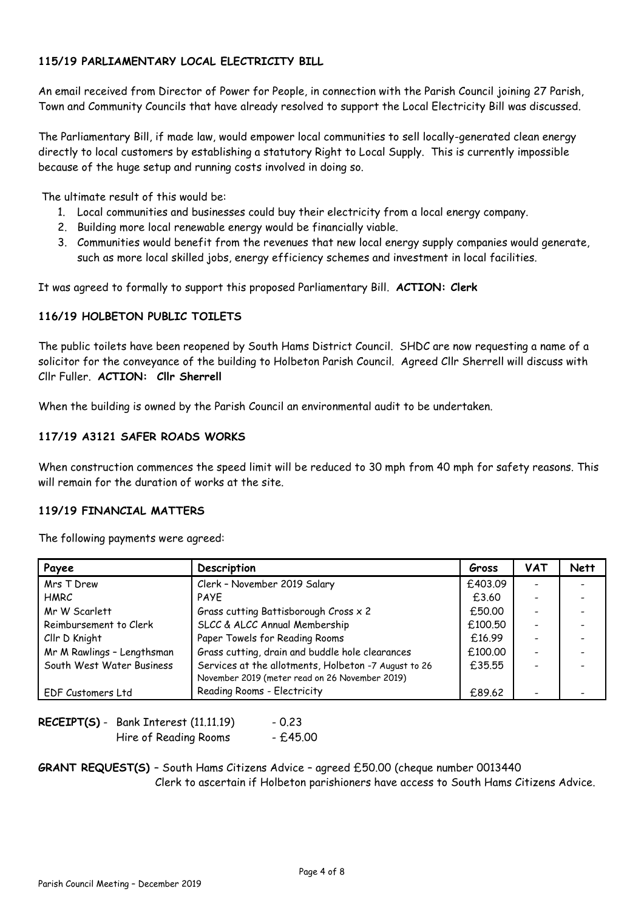# **115/19 PARLIAMENTARY LOCAL ELECTRICITY BILL**

An email received from Director of Power for People, in connection with the Parish Council joining 27 Parish, Town and Community Councils that have already resolved to support the Local Electricity Bill was discussed.

The Parliamentary Bill, if made law, would empower local communities to sell locally-generated clean energy directly to local customers by establishing a statutory Right to Local Supply. This is currently impossible because of the huge setup and running costs involved in doing so.

The ultimate result of this would be:

- 1. Local communities and businesses could buy their electricity from a local energy company.
- 2. Building more local renewable energy would be financially viable.
- 3. Communities would benefit from the revenues that new local energy supply companies would generate, such as more local skilled jobs, energy efficiency schemes and investment in local facilities.

It was agreed to formally to support this proposed Parliamentary Bill. **ACTION: Clerk**

# **116/19 HOLBETON PUBLIC TOILETS**

The public toilets have been reopened by South Hams District Council. SHDC are now requesting a name of a solicitor for the conveyance of the building to Holbeton Parish Council. Agreed Cllr Sherrell will discuss with Cllr Fuller. **ACTION: Cllr Sherrell**

When the building is owned by the Parish Council an environmental audit to be undertaken.

# **117/19 A3121 SAFER ROADS WORKS**

When construction commences the speed limit will be reduced to 30 mph from 40 mph for safety reasons. This will remain for the duration of works at the site.

## **119/19 FINANCIAL MATTERS**

The following payments were agreed:

| Payee                      | Description                                          | Gross   | <b>VAT</b>               | <b>Nett</b> |
|----------------------------|------------------------------------------------------|---------|--------------------------|-------------|
| Mrs T Drew                 | Clerk - November 2019 Salary                         | £403.09 |                          |             |
| <b>HMRC</b>                | <b>PAYE</b>                                          | £3.60   | $\overline{\phantom{0}}$ |             |
| Mr W Scarlett              | Grass cutting Battisborough Cross x 2                | £50.00  |                          |             |
| Reimbursement to Clerk     | SLCC & ALCC Annual Membership                        | £100.50 | $\overline{\phantom{0}}$ |             |
| Cllr D Knight              | Paper Towels for Reading Rooms                       | £16.99  | $\overline{\phantom{0}}$ |             |
| Mr M Rawlings - Lengthsman | Grass cutting, drain and buddle hole clearances      | £100.00 | $\overline{\phantom{0}}$ |             |
| South West Water Business  | Services at the allotments, Holbeton -7 August to 26 | £35.55  |                          |             |
|                            | November 2019 (meter read on 26 November 2019)       |         |                          |             |
| <b>EDF Customers Ltd</b>   | Reading Rooms - Electricity                          | £89.62  |                          |             |

| RECEIPT(S) - Bank Interest (11.11.19) |                       | - 0.23    |
|---------------------------------------|-----------------------|-----------|
|                                       | Hire of Reading Rooms | $-£45.00$ |

# **GRANT REQUEST(S)** – South Hams Citizens Advice – agreed £50.00 (cheque number 0013440 Clerk to ascertain if Holbeton parishioners have access to South Hams Citizens Advice.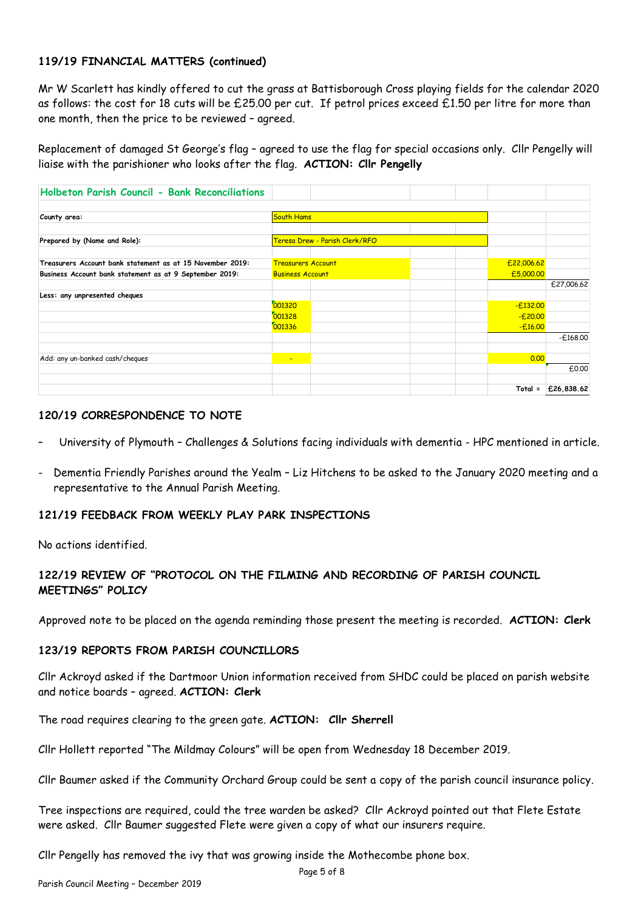# **119/19 FINANCIAL MATTERS (continued)**

Mr W Scarlett has kindly offered to cut the grass at Battisborough Cross playing fields for the calendar 2020 as follows: the cost for 18 cuts will be £25.00 per cut. If petrol prices exceed £1.50 per litre for more than one month, then the price to be reviewed – agreed.

Replacement of damaged St George's flag – agreed to use the flag for special occasions only. Cllr Pengelly will liaise with the parishioner who looks after the flag. **ACTION: Cllr Pengelly**

| Holbeton Parish Council - Bank Reconciliations            |                                |  |  |            |            |            |
|-----------------------------------------------------------|--------------------------------|--|--|------------|------------|------------|
|                                                           |                                |  |  |            |            |            |
| County area:                                              | <b>South Hams</b>              |  |  |            |            |            |
|                                                           |                                |  |  |            |            |            |
| Prepared by (Name and Role):                              | Teresa Drew - Parish Clerk/RFO |  |  |            |            |            |
|                                                           |                                |  |  |            |            |            |
| Treasurers Account bank statement as at 15 November 2019: | <b>Treasurers Account</b>      |  |  | £22,006.62 |            |            |
| Business Account bank statement as at 9 September 2019:   | <b>Business Account</b>        |  |  |            | £5,000,00  |            |
|                                                           |                                |  |  |            |            | £27,006.62 |
| Less: any unpresented cheques                             |                                |  |  |            |            |            |
|                                                           | 001320                         |  |  |            | $-£132,00$ |            |
|                                                           | 001328                         |  |  |            | $-£20.00$  |            |
|                                                           | 001336                         |  |  |            | $-£16,00$  |            |
|                                                           |                                |  |  |            |            | $-E168.00$ |
|                                                           |                                |  |  |            |            |            |
| Add: any un-banked cash/cheques                           | $\blacksquare$                 |  |  |            | 0.00       |            |
|                                                           |                                |  |  |            |            | £0.00      |
|                                                           |                                |  |  |            |            |            |
|                                                           |                                |  |  |            | Total =    | £26,838.62 |

#### **120/19 CORRESPONDENCE TO NOTE**

- University of Plymouth Challenges & Solutions facing individuals with dementia HPC mentioned in article.
- Dementia Friendly Parishes around the Yealm Liz Hitchens to be asked to the January 2020 meeting and a representative to the Annual Parish Meeting.

#### **121/19 FEEDBACK FROM WEEKLY PLAY PARK INSPECTIONS**

No actions identified.

# **122/19 REVIEW OF "PROTOCOL ON THE FILMING AND RECORDING OF PARISH COUNCIL MEETINGS" POLICY**

Approved note to be placed on the agenda reminding those present the meeting is recorded. **ACTION: Clerk**

#### **123/19 REPORTS FROM PARISH COUNCILLORS**

Cllr Ackroyd asked if the Dartmoor Union information received from SHDC could be placed on parish website and notice boards – agreed. **ACTION: Clerk**

The road requires clearing to the green gate. **ACTION: Cllr Sherrell**

Cllr Hollett reported "The Mildmay Colours" will be open from Wednesday 18 December 2019.

Cllr Baumer asked if the Community Orchard Group could be sent a copy of the parish council insurance policy.

Tree inspections are required, could the tree warden be asked? Cllr Ackroyd pointed out that Flete Estate were asked. Cllr Baumer suggested Flete were given a copy of what our insurers require.

Cllr Pengelly has removed the ivy that was growing inside the Mothecombe phone box.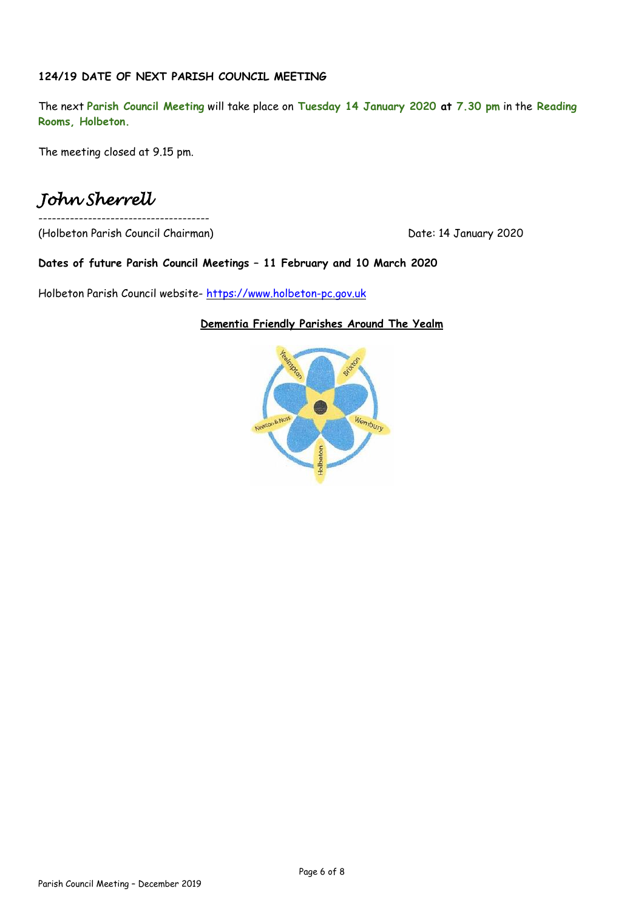# **124/19 DATE OF NEXT PARISH COUNCIL MEETING**

The next **Parish Council Meeting** will take place on **Tuesday 14 January 2020 at 7.30 pm** in the **Reading Rooms, Holbeton.**

The meeting closed at 9.15 pm.

# *John Sherrell*

--------------------------------------

(Holbeton Parish Council Chairman) and the Council Chairman Date: 14 January 2020

**Dates of future Parish Council Meetings – 11 February and 10 March 2020** 

Holbeton Parish Council website- [https://www.holbeton-pc.gov.uk](https://www.holbeton-pc.gov.uk/)

# **Dementia Friendly Parishes Around The Yealm**

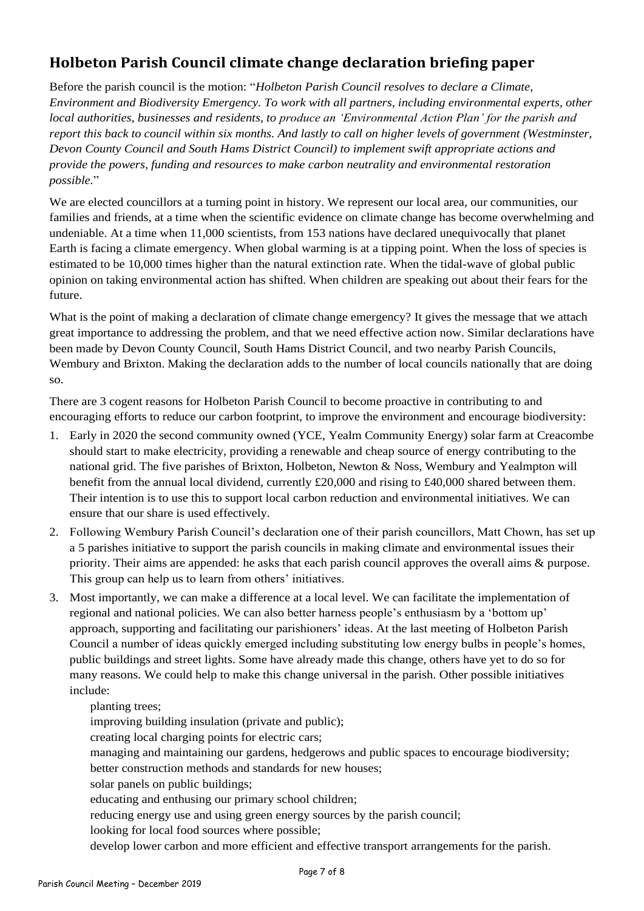# **Holbeton Parish Council climate change declaration briefing paper**

Before the parish council is the motion: "*Holbeton Parish Council resolves to declare a Climate, Environment and Biodiversity Emergency. To work with all partners, including environmental experts, other local authorities, businesses and residents, to produce an 'Environmental Action Plan' for the parish and*  report this back to council within six months. And lastly to call on higher levels of government (Westminster, *Devon County Council and South Hams District Council) to implement swift appropriate actions and provide the powers, funding and resources to make carbon neutrality and environmental restoration possible.*"

We are elected councillors at a turning point in history. We represent our local area, our communities, our families and friends, at a time when the scientific evidence on climate change has become overwhelming and undeniable. At a time when 11,000 scientists, from 153 nations have declared unequivocally that planet Earth is facing a climate emergency. When global warming is at a tipping point. When the loss of species is estimated to be 10,000 times higher than the natural extinction rate. When the tidal-wave of global public opinion on taking environmental action has shifted. When children are speaking out about their fears for the future.

What is the point of making a declaration of climate change emergency? It gives the message that we attach great importance to addressing the problem, and that we need effective action now. Similar declarations have been made by Devon County Council, South Hams District Council, and two nearby Parish Councils, Wembury and Brixton. Making the declaration adds to the number of local councils nationally that are doing so.

There are 3 cogent reasons for Holbeton Parish Council to become proactive in contributing to and encouraging efforts to reduce our carbon footprint, to improve the environment and encourage biodiversity:

- 1. Early in 2020 the second community owned (YCE, Yealm Community Energy) solar farm at Creacombe should start to make electricity, providing a renewable and cheap source of energy contributing to the national grid. The five parishes of Brixton, Holbeton, Newton & Noss, Wembury and Yealmpton will benefit from the annual local dividend, currently £20,000 and rising to £40,000 shared between them. Their intention is to use this to support local carbon reduction and environmental initiatives. We can ensure that our share is used effectively.
- 2. Following Wembury Parish Council's declaration one of their parish councillors, Matt Chown, has set up a 5 parishes initiative to support the parish councils in making climate and environmental issues their priority. Their aims are appended: he asks that each parish council approves the overall aims & purpose. This group can help us to learn from others' initiatives.
- 3. Most importantly, we can make a difference at a local level. We can facilitate the implementation of regional and national policies. We can also better harness people's enthusiasm by a 'bottom up' approach, supporting and facilitating our parishioners' ideas. At the last meeting of Holbeton Parish Council a number of ideas quickly emerged including substituting low energy bulbs in people's homes, public buildings and street lights. Some have already made this change, others have yet to do so for many reasons. We could help to make this change universal in the parish. Other possible initiatives include:

# planting trees;

improving building insulation (private and public);

creating local charging points for electric cars;

managing and maintaining our gardens, hedgerows and public spaces to encourage biodiversity;

better construction methods and standards for new houses;

solar panels on public buildings;

educating and enthusing our primary school children;

reducing energy use and using green energy sources by the parish council;

looking for local food sources where possible;

develop lower carbon and more efficient and effective transport arrangements for the parish.